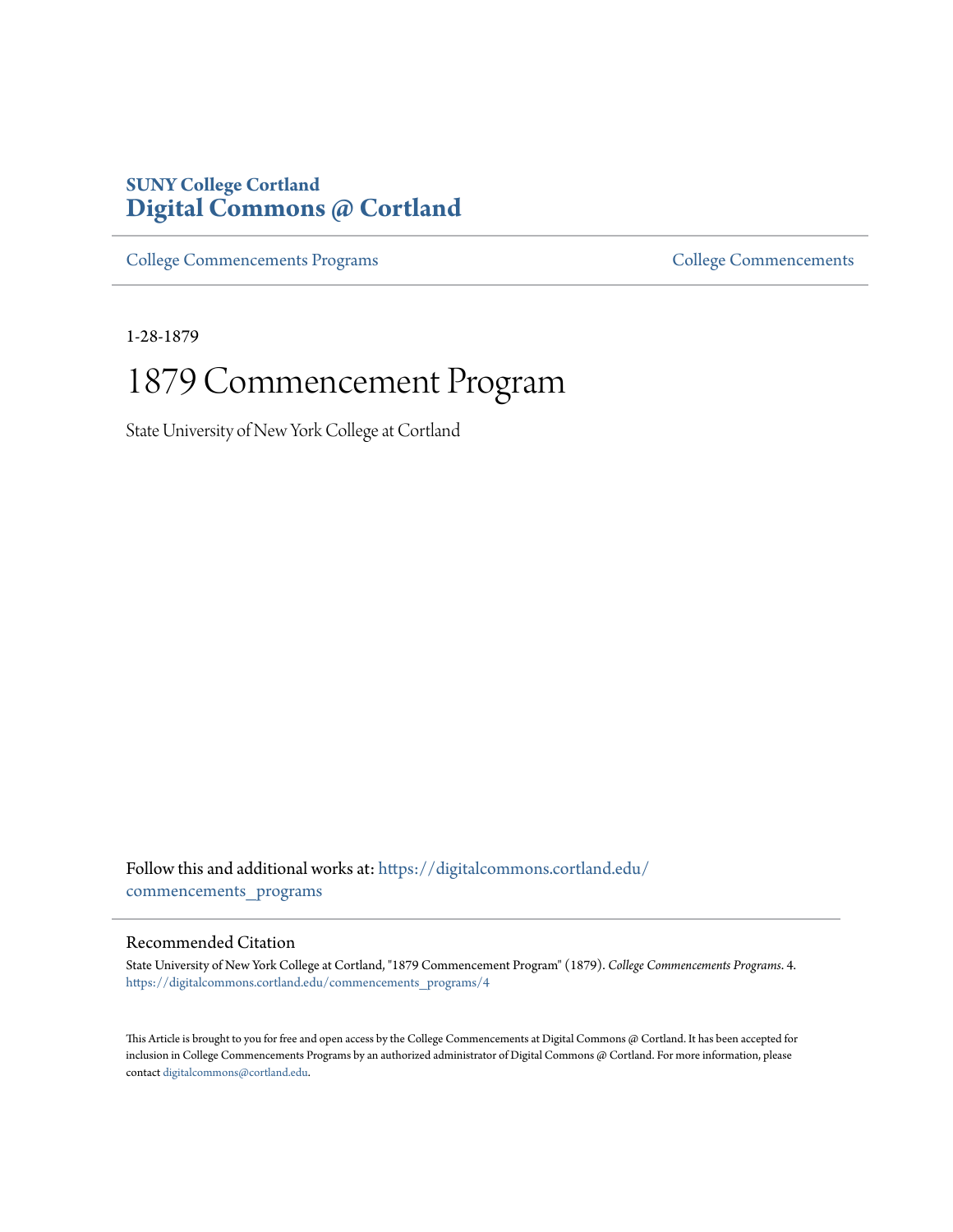### **SUNY College Cortland [Digital Commons @ Cortland](https://digitalcommons.cortland.edu?utm_source=digitalcommons.cortland.edu%2Fcommencements_programs%2F4&utm_medium=PDF&utm_campaign=PDFCoverPages)**

[College Commencements Programs](https://digitalcommons.cortland.edu/commencements_programs?utm_source=digitalcommons.cortland.edu%2Fcommencements_programs%2F4&utm_medium=PDF&utm_campaign=PDFCoverPages) The [College Commencements](https://digitalcommons.cortland.edu/commencements?utm_source=digitalcommons.cortland.edu%2Fcommencements_programs%2F4&utm_medium=PDF&utm_campaign=PDFCoverPages) College Commencements

1-28-1879

# 1879 Commencement Program

State University of New York College at Cortland

Follow this and additional works at: [https://digitalcommons.cortland.edu/](https://digitalcommons.cortland.edu/commencements_programs?utm_source=digitalcommons.cortland.edu%2Fcommencements_programs%2F4&utm_medium=PDF&utm_campaign=PDFCoverPages) [commencements\\_programs](https://digitalcommons.cortland.edu/commencements_programs?utm_source=digitalcommons.cortland.edu%2Fcommencements_programs%2F4&utm_medium=PDF&utm_campaign=PDFCoverPages)

### Recommended Citation

State University of New York College at Cortland, "1879 Commencement Program" (1879). *College Commencements Programs*. 4. [https://digitalcommons.cortland.edu/commencements\\_programs/4](https://digitalcommons.cortland.edu/commencements_programs/4?utm_source=digitalcommons.cortland.edu%2Fcommencements_programs%2F4&utm_medium=PDF&utm_campaign=PDFCoverPages)

This Article is brought to you for free and open access by the College Commencements at Digital Commons @ Cortland. It has been accepted for inclusion in College Commencements Programs by an authorized administrator of Digital Commons @ Cortland. For more information, please contact [digitalcommons@cortland.edu.](mailto:digitalcommons@cortland.edu)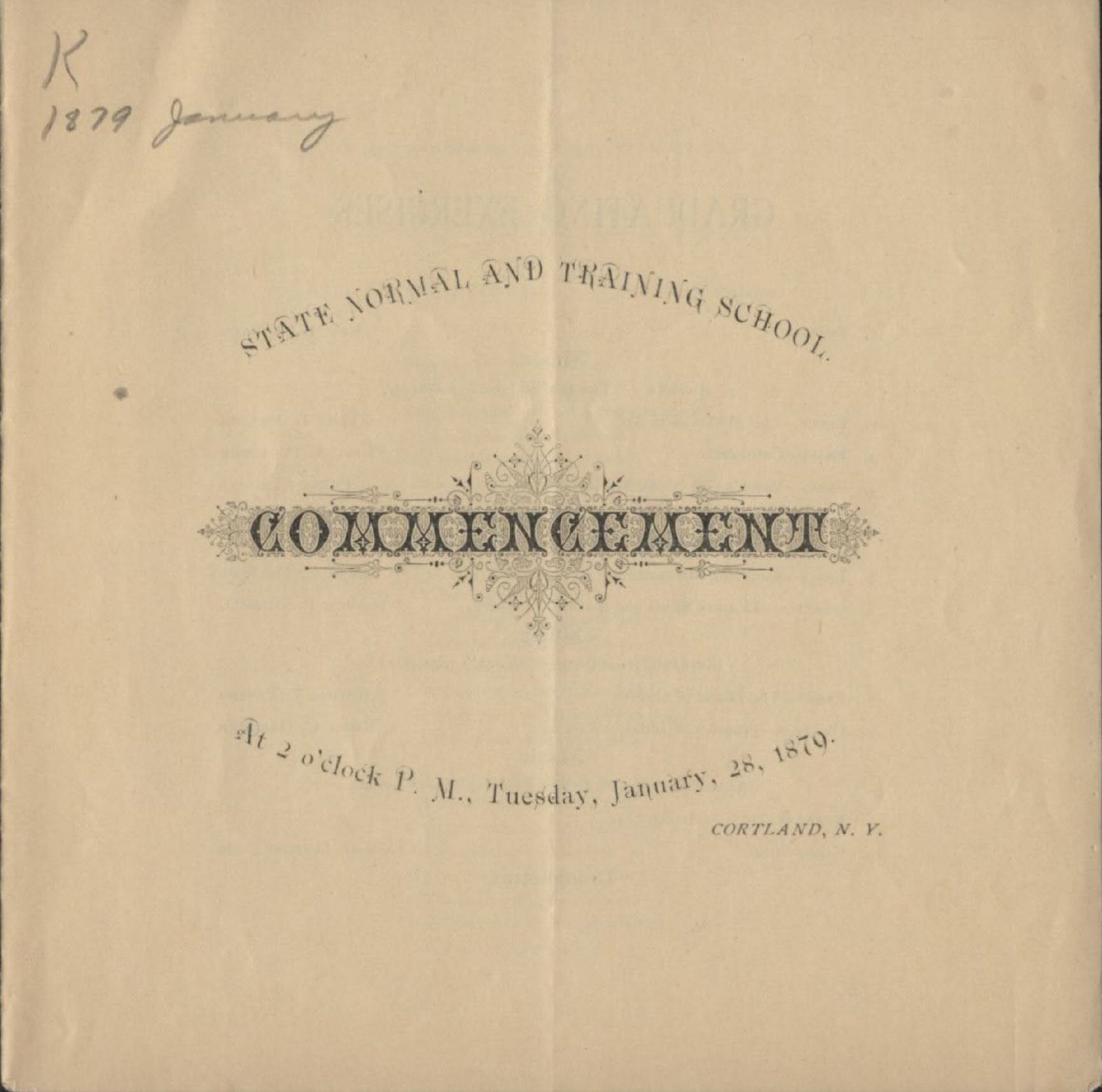1879 January GTATE NORMAL AND TRAINING SCHOOL. W 7.39  $\widehat{et}_{t_{2o}\text{c}lock}$  P. M., Tuesday, January,  $^{28,~1870\cdot}$ CORTLAND, N.Y.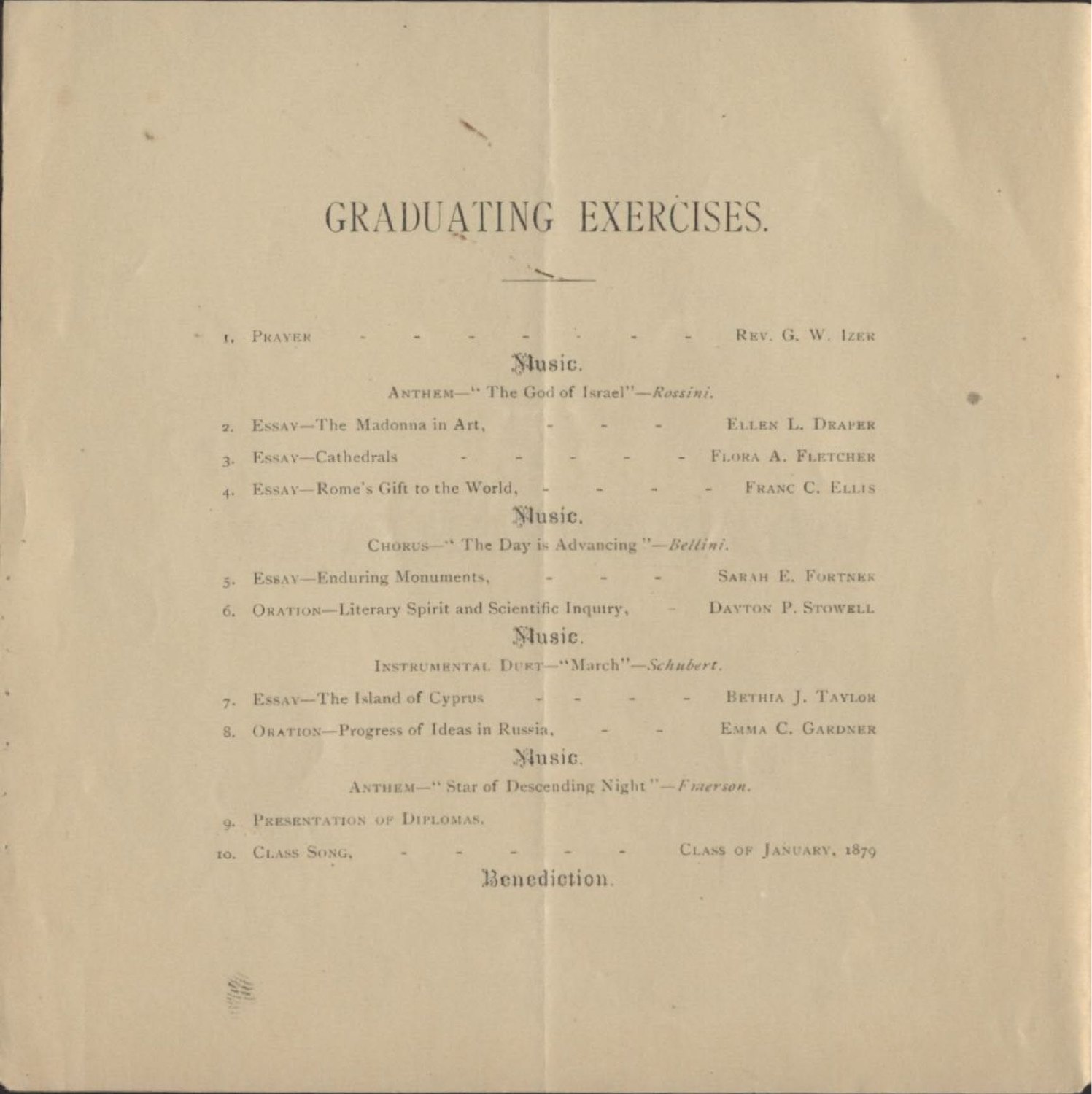## GRADUATING EXERCISES.

**t.** PRAYER

×

×

×

- - - - REV. G. W. IZER

36

### Nusic.

### ANTHEM-" The God of Israel"-Rossini.

ELLEN L. DRAPER 2. Essay-The Madonna in Art, - - - -Essay-Cathedrals - -- - - FLORA A. FLETCHER  $\overline{a}$ . 4. ESSAY-Rome's Gift to the World, - - - - - FRANC C. ELLIS Nusic.

CHORUS<sup>-"</sup> The Day is Advancing "-Bellini.

5. ESSAY-Enduring Monuments, . . . . SARAH E. FORTNER

6. ORATION-Literary Spirit and Scientific Inquiry, - DAYTON P. STOWELL Music.

INSTRUMENTAL DURT-"March"-Schubert.

7. ESSAY-The Island of Cyprus - - - - - BETHIA J. TAYLOR 8. ORATION-Progress of Ideas in Russia, - - - EMMA C. GARDNER

#### Music.

ANTHEM-" Star of Descending Night"-Fnierson.

O. PRESENTATION OF DIPLOMAS.

gen<br>141

- - - - - CLASS OF JANUARY, 1879 to. CLASS SONG. **Card** Benediction.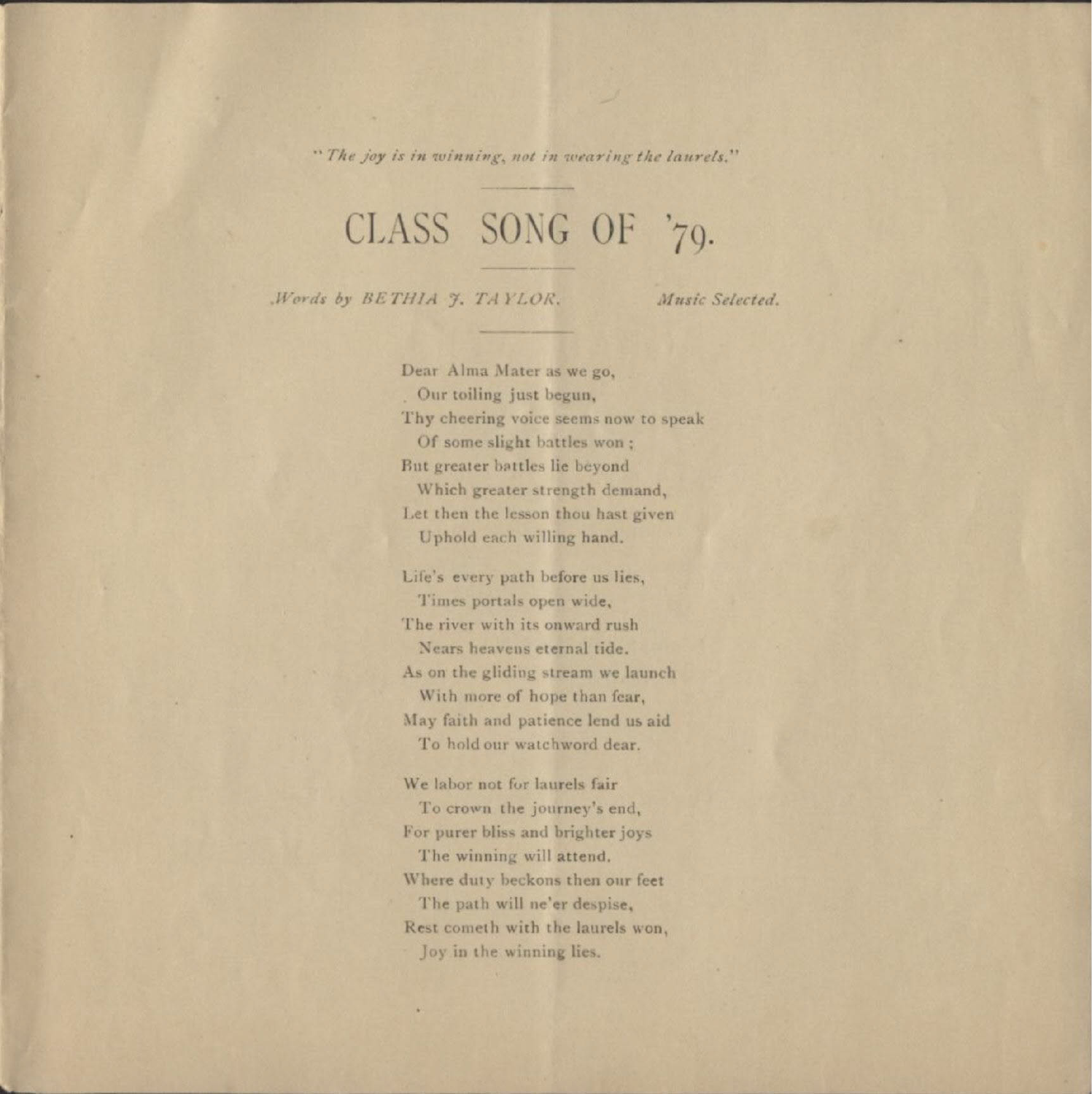"The joy is in winning, not in wearing the laurels."

# CLASS SONG OF '70.

Words by BETHIA 7, TAYLOR.

Music Selected.

Dear Alma Mater as we go, Our toiling just begun, Thy cheering voice seems now to speak Of some slight battles won : But greater battles lie beyond Which greater strength demand. Let then the lesson thou hast given Uphold each willing hand.

Life's every path before us lies, Times portals open wide, The river with its onward rush Nears heavens eternal tide. As on the gliding stream we launch With more of hope than fear, May faith and patience lend us aid To hold our watchword dear.

We labor not for laurels fair To crown the journey's end, For purer bliss and brighter joys The winning will attend. Where duty beckons then our feet The path will ne'er despise, Rest cometh with the laurels won, Joy in the winning lies.